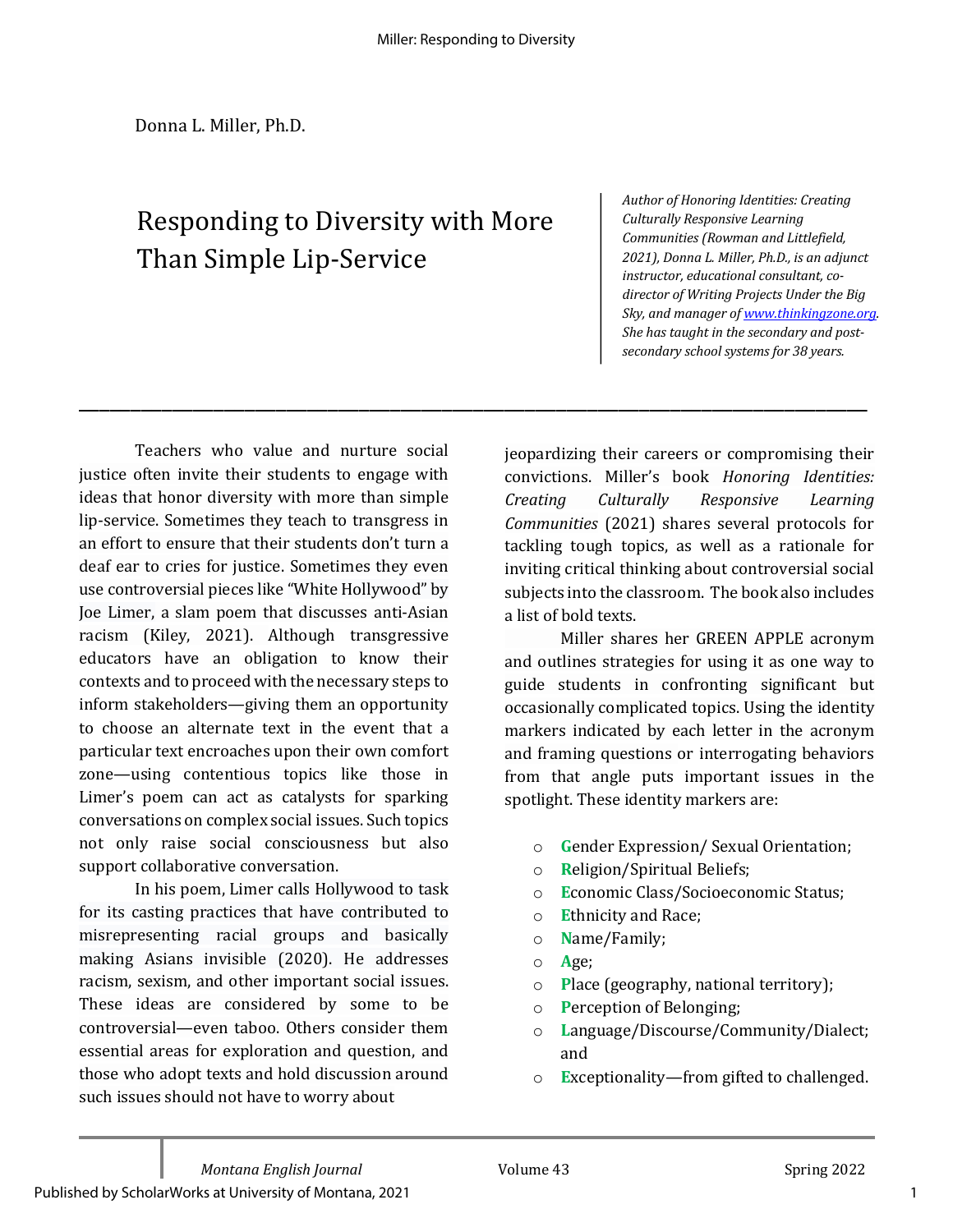\_\_\_\_\_\_\_\_\_\_\_\_\_\_\_\_\_\_\_\_\_\_\_\_\_\_\_\_\_\_\_\_\_\_\_\_\_\_\_\_\_\_\_\_\_\_\_\_\_\_\_\_\_\_\_\_\_\_\_\_\_\_\_\_\_\_\_\_\_\_\_\_\_\_\_\_

# Responding to Diversity with More Than Simple Lip-Service

Author of Honoring Identities: Creating *Culturally Responsive Learning Communities (Rowman and Littlefield,*  2021), Donna L. Miller, Ph.D., is an adjunct instructor, educational consultant, codirector of Writing Projects Under the Big Sky, and manager of www.thinkingzone.org. She has taught in the secondary and post*secondary school systems for 38 years.*

Teachers who value and nurture social justice often invite their students to engage with ideas that honor diversity with more than simple lip-service. Sometimes they teach to transgress in an effort to ensure that their students don't turn a deaf ear to cries for justice. Sometimes they even use controversial pieces like "White Hollywood" by Joe Limer, a slam poem that discusses anti-Asian racism (Kiley, 2021). Although transgressive educators have an obligation to know their contexts and to proceed with the necessary steps to inform stakeholders—giving them an opportunity to choose an alternate text in the event that a particular text encroaches upon their own comfort zone—using contentious topics like those in Limer's poem can act as catalysts for sparking conversations on complex social issues. Such topics not only raise social consciousness but also support collaborative conversation.

In his poem, Limer calls Hollywood to task for its casting practices that have contributed to misrepresenting racial groups and basically making Asians invisible (2020). He addresses racism, sexism, and other important social issues. These ideas are considered by some to be controversial—even taboo. Others consider them essential areas for exploration and question, and those who adopt texts and hold discussion around such issues should not have to worry about

jeopardizing their careers or compromising their convictions. Miller's book *Honoring Identities: Creating Culturally Responsive Learning Communities* (2021) shares several protocols for tackling tough topics, as well as a rationale for inviting critical thinking about controversial social subjects into the classroom. The book also includes a list of bold texts.

Miller shares her GREEN APPLE acronym and outlines strategies for using it as one way to guide students in confronting significant but occasionally complicated topics. Using the identity markers indicated by each letter in the acronym and framing questions or interrogating behaviors from that angle puts important issues in the spotlight. These identity markers are:

- o **G**ender Expression/ Sexual Orientation;
- o **R**eligion/Spiritual Beliefs;
- o **E**conomic Class/Socioeconomic Status;
- o **Ethnicity** and Race;
- o **N**ame/Family;
- o **A**ge;
- **Place** (geography, national territory);
- o **Perception of Belonging;**
- o **L**anguage/Discourse/Community/Dialect; and
- o **Exceptionality—from gifted to challenged.**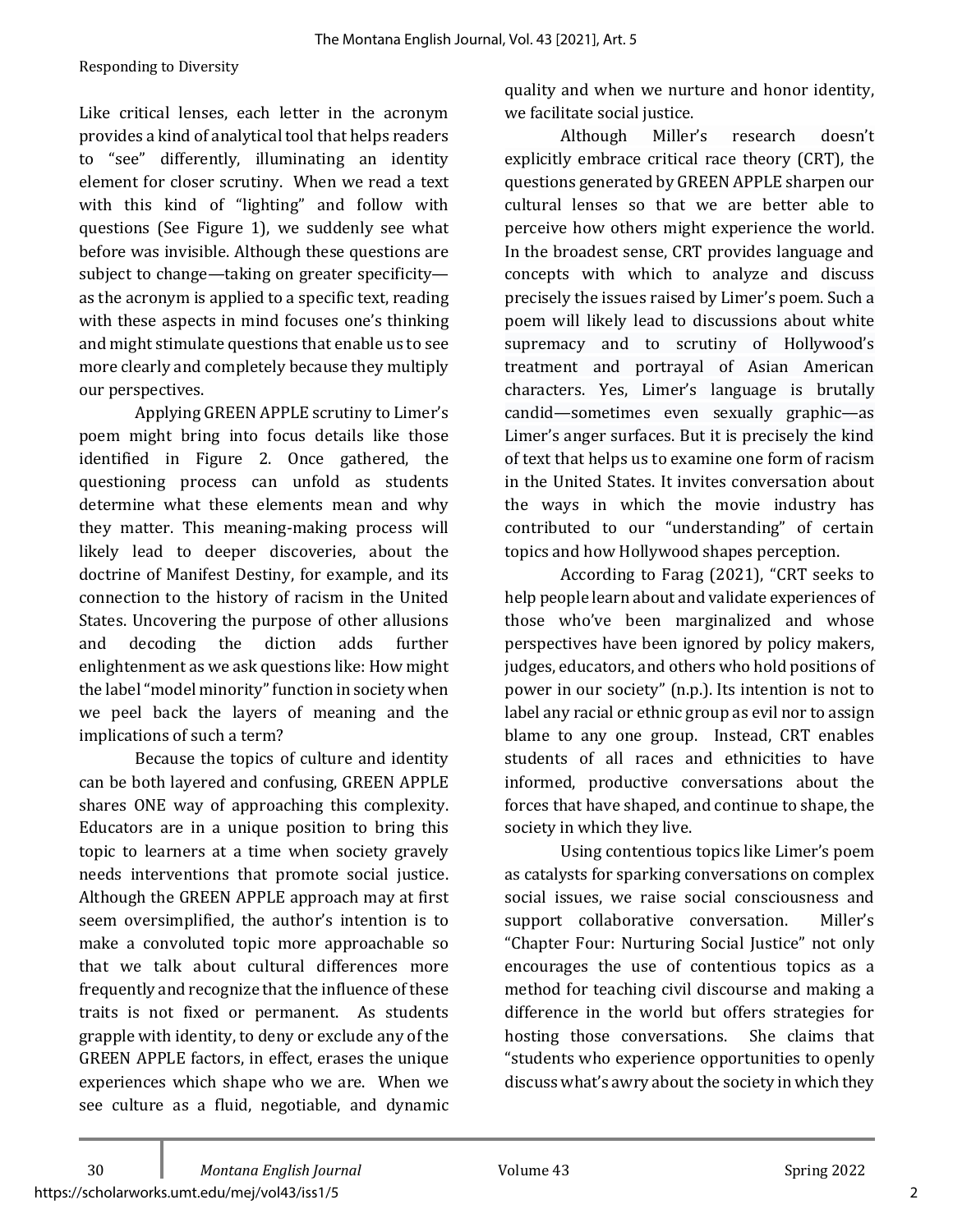Like critical lenses, each letter in the acronym provides a kind of analytical tool that helps readers to "see" differently, illuminating an identity element for closer scrutiny. When we read a text with this kind of "lighting" and follow with questions (See Figure 1), we suddenly see what before was invisible. Although these questions are subject to change—taking on greater specificity as the acronym is applied to a specific text, reading with these aspects in mind focuses one's thinking and might stimulate questions that enable us to see more clearly and completely because they multiply our perspectives.

Applying GREEN APPLE scrutiny to Limer's poem might bring into focus details like those identified in Figure 2. Once gathered, the questioning process can unfold as students determine what these elements mean and why they matter. This meaning-making process will likely lead to deeper discoveries, about the doctrine of Manifest Destiny, for example, and its connection to the history of racism in the United States. Uncovering the purpose of other allusions and decoding the diction adds further enlightenment as we ask questions like: How might the label "model minority" function in society when we peel back the layers of meaning and the implications of such a term?

Because the topics of culture and identity can be both layered and confusing, GREEN APPLE shares ONE way of approaching this complexity. Educators are in a unique position to bring this topic to learners at a time when society gravely needs interventions that promote social justice. Although the GREEN APPLE approach may at first seem oversimplified, the author's intention is to make a convoluted topic more approachable so that we talk about cultural differences more frequently and recognize that the influence of these traits is not fixed or permanent. As students grapple with identity, to deny or exclude any of the GREEN APPLE factors, in effect, erases the unique experiences which shape who we are. When we see culture as a fluid, negotiable, and dynamic

quality and when we nurture and honor identity, we facilitate social justice.

Although Miller's research doesn't explicitly embrace critical race theory (CRT), the questions generated by GREEN APPLE sharpen our cultural lenses so that we are better able to perceive how others might experience the world. In the broadest sense, CRT provides language and concepts with which to analyze and discuss precisely the issues raised by Limer's poem. Such a poem will likely lead to discussions about white supremacy and to scrutiny of Hollywood's treatment and portrayal of Asian American characters. Yes, Limer's language is brutally candid—sometimes even sexually graphic—as Limer's anger surfaces. But it is precisely the kind of text that helps us to examine one form of racism in the United States. It invites conversation about the ways in which the movie industry has contributed to our "understanding" of certain topics and how Hollywood shapes perception.

According to Farag (2021), "CRT seeks to help people learn about and validate experiences of those who've been marginalized and whose perspectives have been ignored by policy makers, judges, educators, and others who hold positions of power in our society" (n.p.). Its intention is not to label any racial or ethnic group as evil nor to assign blame to any one group. Instead, CRT enables students of all races and ethnicities to have informed, productive conversations about the forces that have shaped, and continue to shape, the society in which they live.

Using contentious topics like Limer's poem as catalysts for sparking conversations on complex social issues, we raise social consciousness and support collaborative conversation. Miller's "Chapter Four: Nurturing Social Justice" not only encourages the use of contentious topics as a method for teaching civil discourse and making a difference in the world but offers strategies for hosting those conversations. She claims that "students who experience opportunities to openly discuss what's awry about the society in which they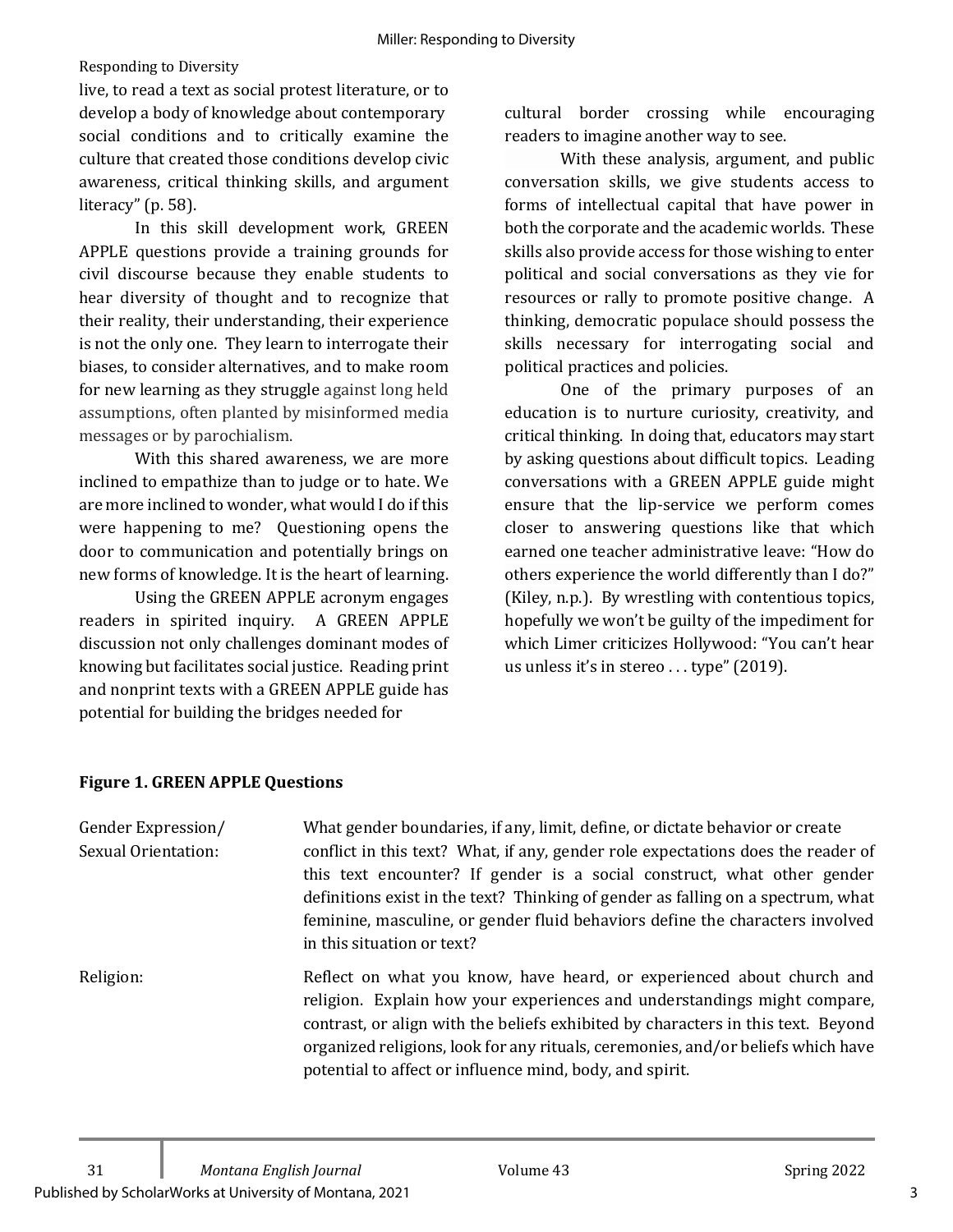#### Responding to Diversity

live, to read a text as social protest literature, or to develop a body of knowledge about contemporary social conditions and to critically examine the culture that created those conditions develop civic awareness, critical thinking skills, and argument literacy"  $(p. 58)$ .

In this skill development work, GREEN APPLE questions provide a training grounds for civil discourse because they enable students to hear diversity of thought and to recognize that their reality, their understanding, their experience is not the only one. They learn to interrogate their biases, to consider alternatives, and to make room for new learning as they struggle against long held assumptions, often planted by misinformed media messages or by parochialism.

With this shared awareness, we are more inclined to empathize than to judge or to hate. We are more inclined to wonder, what would I do if this were happening to me? Questioning opens the door to communication and potentially brings on new forms of knowledge. It is the heart of learning.

Using the GREEN APPLE acronym engages readers in spirited inquiry. A GREEN APPLE discussion not only challenges dominant modes of knowing but facilitates social justice. Reading print and nonprint texts with a GREEN APPLE guide has potential for building the bridges needed for

cultural border crossing while encouraging readers to imagine another way to see.

With these analysis, argument, and public conversation skills, we give students access to forms of intellectual capital that have power in both the corporate and the academic worlds. These skills also provide access for those wishing to enter political and social conversations as they vie for resources or rally to promote positive change. A thinking, democratic populace should possess the skills necessary for interrogating social and political practices and policies.

One of the primary purposes of an education is to nurture curiosity, creativity, and critical thinking. In doing that, educators may start by asking questions about difficult topics. Leading conversations with a GREEN APPLE guide might ensure that the lip-service we perform comes closer to answering questions like that which earned one teacher administrative leave: "How do others experience the world differently than I do?" (Kiley, n.p.). By wrestling with contentious topics, hopefully we won't be guilty of the impediment for which Limer criticizes Hollywood: "You can't hear us unless it's in stereo ... type" (2019).

| Gender Expression/<br>Sexual Orientation: | What gender boundaries, if any, limit, define, or dictate behavior or create<br>conflict in this text? What, if any, gender role expectations does the reader of<br>this text encounter? If gender is a social construct, what other gender<br>definitions exist in the text? Thinking of gender as falling on a spectrum, what<br>feminine, masculine, or gender fluid behaviors define the characters involved<br>in this situation or text? |
|-------------------------------------------|------------------------------------------------------------------------------------------------------------------------------------------------------------------------------------------------------------------------------------------------------------------------------------------------------------------------------------------------------------------------------------------------------------------------------------------------|
| Religion:                                 | Reflect on what you know, have heard, or experienced about church and<br>religion. Explain how your experiences and understandings might compare,<br>contrast, or align with the beliefs exhibited by characters in this text. Beyond<br>organized religions, look for any rituals, ceremonies, and/or beliefs which have<br>potential to affect or influence mind, body, and spirit.                                                          |

## **Figure 1. GREEN APPLE Questions**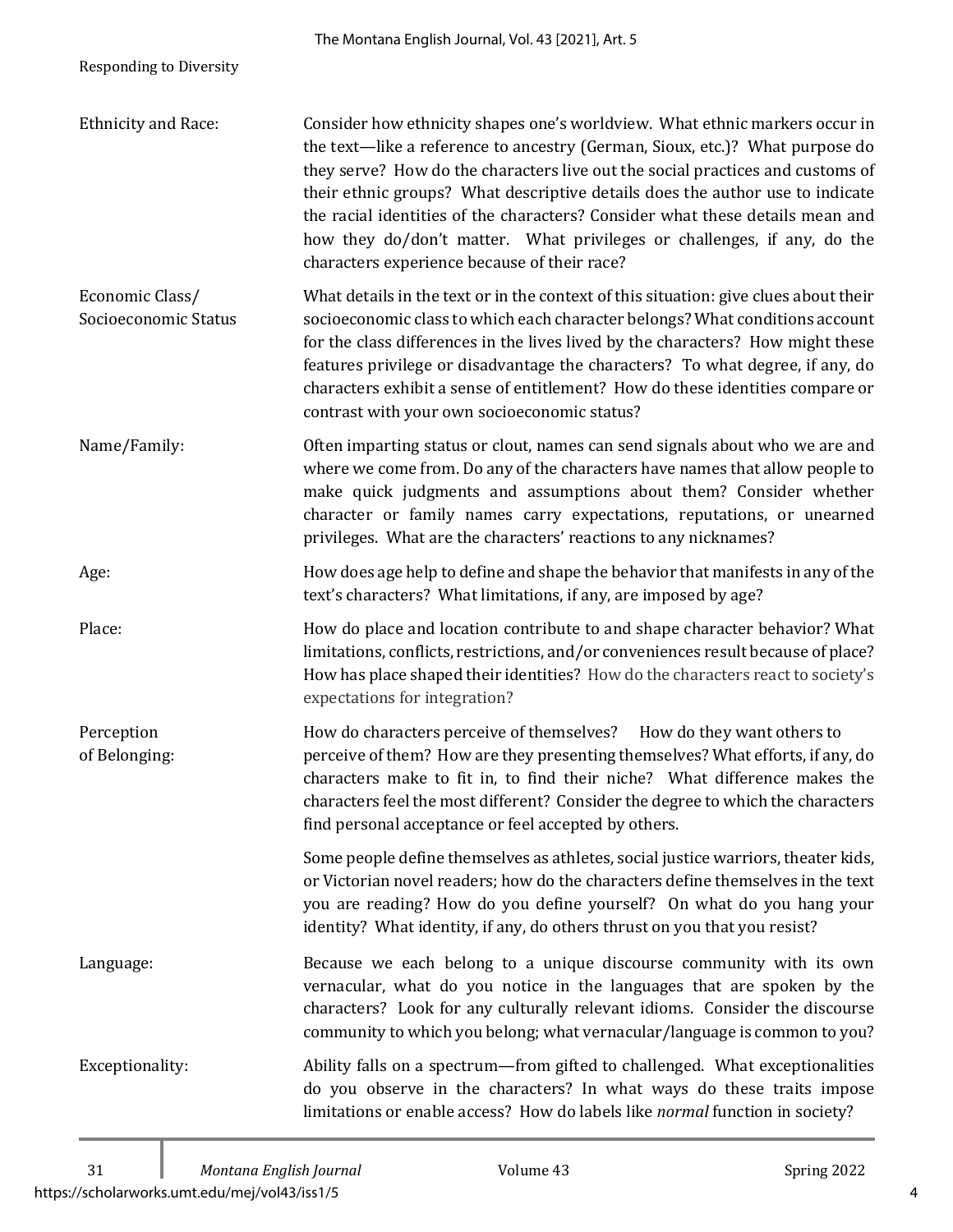|                                         | The Montana English Journal, Vol. 43 [2021], Art. 5                                                                                                                                                                                                                                                                                                                                                                                                                                                                                        |
|-----------------------------------------|--------------------------------------------------------------------------------------------------------------------------------------------------------------------------------------------------------------------------------------------------------------------------------------------------------------------------------------------------------------------------------------------------------------------------------------------------------------------------------------------------------------------------------------------|
| <b>Responding to Diversity</b>          |                                                                                                                                                                                                                                                                                                                                                                                                                                                                                                                                            |
| Ethnicity and Race:                     | Consider how ethnicity shapes one's worldview. What ethnic markers occur in<br>the text-like a reference to ancestry (German, Sioux, etc.)? What purpose do<br>they serve? How do the characters live out the social practices and customs of<br>their ethnic groups? What descriptive details does the author use to indicate<br>the racial identities of the characters? Consider what these details mean and<br>how they do/don't matter. What privileges or challenges, if any, do the<br>characters experience because of their race? |
| Economic Class/<br>Socioeconomic Status | What details in the text or in the context of this situation: give clues about their<br>socioeconomic class to which each character belongs? What conditions account<br>for the class differences in the lives lived by the characters? How might these<br>features privilege or disadvantage the characters? To what degree, if any, do<br>characters exhibit a sense of entitlement? How do these identities compare or<br>contrast with your own socioeconomic status?                                                                  |
| Name/Family:                            | Often imparting status or clout, names can send signals about who we are and<br>where we come from. Do any of the characters have names that allow people to<br>make quick judgments and assumptions about them? Consider whether<br>character or family names carry expectations, reputations, or unearned<br>privileges. What are the characters' reactions to any nicknames?                                                                                                                                                            |
| Age:                                    | How does age help to define and shape the behavior that manifests in any of the<br>text's characters? What limitations, if any, are imposed by age?                                                                                                                                                                                                                                                                                                                                                                                        |
| Place:                                  | How do place and location contribute to and shape character behavior? What<br>limitations, conflicts, restrictions, and/or conveniences result because of place?<br>How has place shaped their identities? How do the characters react to society's<br>expectations for integration?                                                                                                                                                                                                                                                       |
| Perception<br>of Belonging:             | How do characters perceive of themselves? How do they want others to<br>perceive of them? How are they presenting themselves? What efforts, if any, do<br>characters make to fit in, to find their niche? What difference makes the<br>characters feel the most different? Consider the degree to which the characters<br>find personal acceptance or feel accepted by others.                                                                                                                                                             |
|                                         | Some people define themselves as athletes, social justice warriors, theater kids,<br>or Victorian novel readers; how do the characters define themselves in the text<br>you are reading? How do you define yourself? On what do you hang your<br>identity? What identity, if any, do others thrust on you that you resist?                                                                                                                                                                                                                 |
| Language:                               | Because we each belong to a unique discourse community with its own<br>vernacular, what do you notice in the languages that are spoken by the<br>characters? Look for any culturally relevant idioms. Consider the discourse<br>community to which you belong; what vernacular/language is common to you?                                                                                                                                                                                                                                  |
| Exceptionality:                         | Ability falls on a spectrum-from gifted to challenged. What exceptionalities<br>do you observe in the characters? In what ways do these traits impose<br>limitations or enable access? How do labels like normal function in society?                                                                                                                                                                                                                                                                                                      |